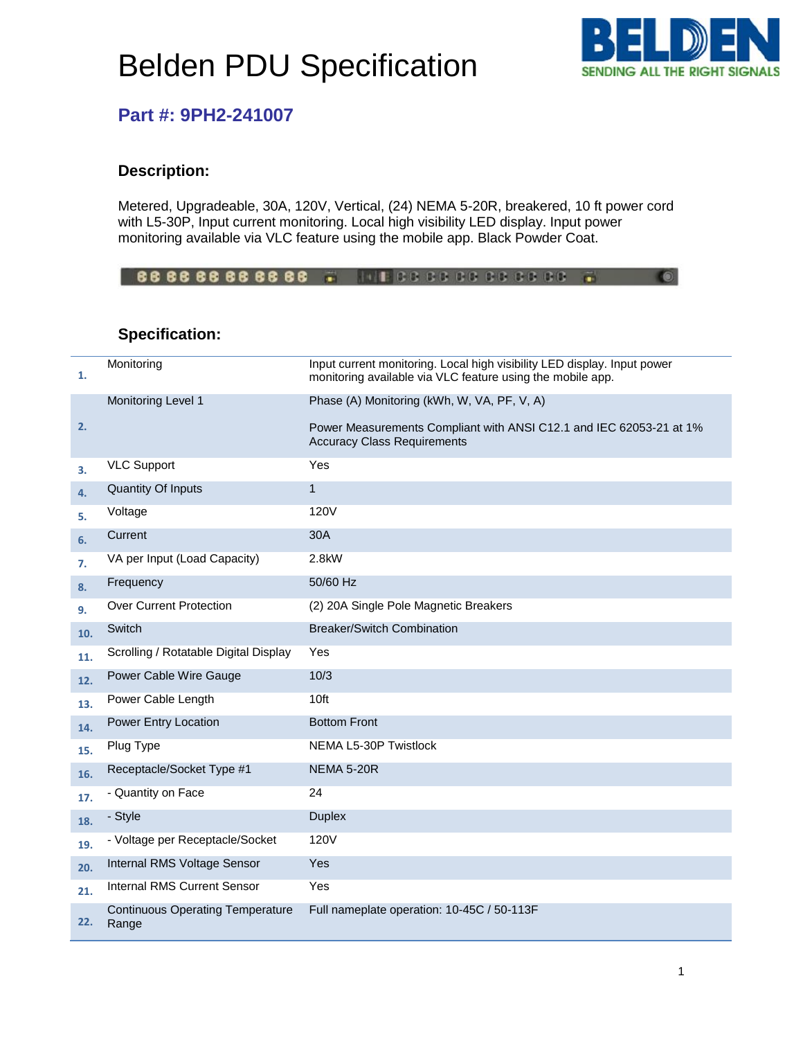# Belden PDU Specification



## **Part #: 9PH2-241007**

#### **Description:**

Metered, Upgradeable, 30A, 120V, Vertical, (24) NEMA 5-20R, breakered, 10 ft power cord with L5-30P, Input current monitoring. Local high visibility LED display. Input power monitoring available via VLC feature using the mobile app. Black Powder Coat.

666666666666 . INFORDOODSCOOL  $\bullet$ 

### **Specification:**

| 1.  | Monitoring                                       | Input current monitoring. Local high visibility LED display. Input power<br>monitoring available via VLC feature using the mobile app. |
|-----|--------------------------------------------------|----------------------------------------------------------------------------------------------------------------------------------------|
|     | Monitoring Level 1                               | Phase (A) Monitoring (kWh, W, VA, PF, V, A)                                                                                            |
| 2.  |                                                  | Power Measurements Compliant with ANSI C12.1 and IEC 62053-21 at 1%<br><b>Accuracy Class Requirements</b>                              |
| З.  | <b>VLC Support</b>                               | Yes                                                                                                                                    |
| 4.  | <b>Quantity Of Inputs</b>                        | $\mathbf{1}$                                                                                                                           |
| 5.  | Voltage                                          | <b>120V</b>                                                                                                                            |
| 6.  | Current                                          | 30A                                                                                                                                    |
| 7.  | VA per Input (Load Capacity)                     | 2.8kW                                                                                                                                  |
| 8.  | Frequency                                        | 50/60 Hz                                                                                                                               |
| 9.  | <b>Over Current Protection</b>                   | (2) 20A Single Pole Magnetic Breakers                                                                                                  |
| 10. | Switch                                           | <b>Breaker/Switch Combination</b>                                                                                                      |
| 11. | Scrolling / Rotatable Digital Display            | Yes                                                                                                                                    |
| 12. | Power Cable Wire Gauge                           | 10/3                                                                                                                                   |
| 13. | Power Cable Length                               | 10 <sub>ft</sub>                                                                                                                       |
| 14. | Power Entry Location                             | <b>Bottom Front</b>                                                                                                                    |
| 15. | Plug Type                                        | NEMA L5-30P Twistlock                                                                                                                  |
| 16. | Receptacle/Socket Type #1                        | <b>NEMA 5-20R</b>                                                                                                                      |
| 17. | - Quantity on Face                               | 24                                                                                                                                     |
| 18. | - Style                                          | <b>Duplex</b>                                                                                                                          |
| 19. | - Voltage per Receptacle/Socket                  | <b>120V</b>                                                                                                                            |
| 20. | Internal RMS Voltage Sensor                      | Yes                                                                                                                                    |
| 21. | Internal RMS Current Sensor                      | Yes                                                                                                                                    |
| 22. | <b>Continuous Operating Temperature</b><br>Range | Full nameplate operation: 10-45C / 50-113F                                                                                             |